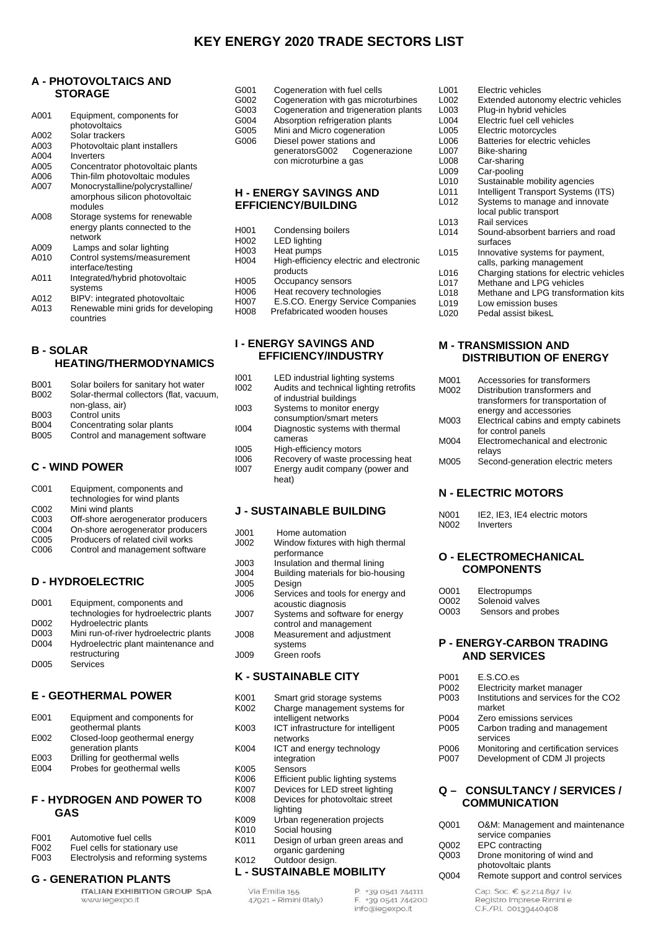## **KEY ENERGY 2020 TRADE SECTORS LIST**

## **A - PHOTOVOLTAICS AND STORAGE**

| A001 | Equipment, components for        |
|------|----------------------------------|
|      | photovoltaics                    |
| A002 | Solar trackers                   |
| A003 | Photovoltaic plant installers    |
| A004 | Inverters                        |
| A005 | Concentrator photovoltaic plants |
| A006 | Thin-film photovoltaic modules   |
| A007 | Monocrystalline/polycrystalline/ |
|      | amorphous silicon photovoltaic   |
|      | modules                          |
| A008 | Storage systems for renewable    |
|      | energy plants connected to the   |
|      | network                          |
| A009 | Lamps and solar lighting         |
| A010 | Control systems/measurement      |
|      | interface/testing                |
| A011 | Integrated/hybrid photovoltaic   |
|      | systems                          |

- 
- A012 BIPV: integrated photovoltaic<br>A013 Renewable mini grids for deve Renewable mini grids for developing

## countries

#### **B - SOLAR HEATING/THERMODYNAMICS**

| <b>B001</b> | Solar boilers for sanitary hot water    |
|-------------|-----------------------------------------|
| B002        | Solar-thermal collectors (flat, vacuum, |
|             | non-glass, air)                         |
| B003        | Control units                           |
| B004        | Concentrating solar plants              |
| <b>B005</b> | Control and management software         |
|             |                                         |
|             |                                         |

## **C - WIND POWER**

| Equipment, components and         |
|-----------------------------------|
| technologies for wind plants      |
| Mini wind plants                  |
| Off-shore aerogenerator producers |
| On-shore aerogenerator producers  |
| Producers of related civil works  |
| Control and management software   |
|                                   |
|                                   |

## **D - HYDROELECTRIC**

| D001 | Equipment, components and              |
|------|----------------------------------------|
|      | technologies for hydroelectric plants  |
| D002 | Hydroelectric plants                   |
| D003 | Mini run-of-river hydroelectric plants |
| D004 | Hydroelectric plant maintenance and    |
|      | restructuring                          |
| D005 | Services                               |
|      |                                        |

## **E - GEOTHERMAL POWER**

| E001 | Equipment and components for  |
|------|-------------------------------|
|      | geothermal plants             |
| E002 | Closed-loop geothermal energy |
|      | generation plants             |
| E003 | Drilling for geothermal wells |
| E004 | Probes for geothermal wells   |
|      |                               |

#### **F - HYDROGEN AND POWER TO GAS**

| F001 | Automotive fuel cells              |
|------|------------------------------------|
| F002 | Fuel cells for stationary use      |
| F003 | Electrolysis and reforming systems |

# **G - GENERATION PLANTS**

www.iegexpo.it

| G001 | Cogeneration with fuel cells          |  |
|------|---------------------------------------|--|
| G002 | Cogeneration with gas microturbines   |  |
| G003 | Cogeneration and trigeneration plants |  |
| G004 | Absorption refrigeration plants       |  |
| G005 | Mini and Micro cogeneration           |  |
| G006 | Diesel power stations and             |  |
|      | generatorsG002 Cogenerazione          |  |
|      | con microturbine a gas                |  |
|      |                                       |  |

#### **H - ENERGY SAVINGS AND EFFICIENCY/BUILDING**

| H <sub>001</sub>  | Condensing boilers                      |
|-------------------|-----------------------------------------|
| H <sub>0</sub> 02 | <b>LED lighting</b>                     |
| H <sub>0</sub> 03 | Heat pumps                              |
| H <sub>004</sub>  | High-efficiency electric and electronic |
|                   | products                                |
| H005              | Occupancy sensors                       |
| H006              | Heat recovery technologies              |
| H007              | E.S.CO. Energy Service Companies        |
| H <sub>008</sub>  | Prefabricated wooden houses             |

#### **I - ENERGY SAVINGS AND EFFICIENCY/INDUSTRY**

| 1001 | LED industrial lighting systems         |
|------|-----------------------------------------|
| 1002 | Audits and technical lighting retrofits |
|      | of industrial buildings                 |
| 1003 | Systems to monitor energy               |
|      | consumption/smart meters                |
| 1004 | Diagnostic systems with thermal         |
|      | cameras                                 |
| 1005 | High-efficiency motors                  |
| 1006 | Recovery of waste processing heat       |
| 1007 | Energy audit company (power and         |
|      | heat)                                   |
|      |                                         |

#### **J - SUSTAINABLE BUILDING**

|  | J001 | Home automation |
|--|------|-----------------|
|--|------|-----------------|

- J002 Window fixtures with high thermal performance
- J003 Insulation and thermal lining<br>J004 Building materials for bio-hor
- J004 Building materials for bio-housing Design
- J006 Services and tools for energy and acoustic diagnosis
- J007 Systems and software for energy control and management

J008 Measurement and adjustment systems

J009 Green roofs

## **K - SUSTAINABLE CITY**

| K001                     | Smart grid storage systems         |  |
|--------------------------|------------------------------------|--|
| K002                     | Charge management systems for      |  |
|                          | intelligent networks               |  |
| K003                     | ICT infrastructure for intelligent |  |
|                          | networks                           |  |
| K004                     | ICT and energy technology          |  |
|                          | integration                        |  |
| K005                     | Sensors                            |  |
| K006                     | Efficient public lighting systems  |  |
| K007                     | Devices for LED street lighting    |  |
| K008                     | Devices for photovoltaic street    |  |
|                          | lighting                           |  |
| K009                     | Urban regeneration projects        |  |
| K010                     | Social housing                     |  |
| K011                     | Design of urban green areas and    |  |
|                          | organic gardening                  |  |
| K012                     | Outdoor design.                    |  |
| L - SUSTAINABLE MOBILITY |                                    |  |

| Via Emilia 155         |  |
|------------------------|--|
| 47921 - Rimini (Italy) |  |

P. +39 0541 744111 F. +39 0541 744200 info@iegexpo.it

| L001 | Flectric vehicles                       |
|------|-----------------------------------------|
| L002 | Extended autonomy electric vehicles     |
| L003 | Plug-in hybrid vehicles                 |
| L004 | Electric fuel cell vehicles             |
| L005 | Electric motorcycles                    |
| L006 | Batteries for electric vehicles         |
| L007 | Bike-sharing                            |
| L008 | Car-sharing                             |
| L009 | Car-pooling                             |
| L010 | Sustainable mobility agencies           |
| L011 | Intelligent Transport Systems (ITS)     |
| L012 | Systems to manage and innovate          |
|      | local public transport                  |
| L013 | Rail services                           |
| L014 | Sound-absorbent barriers and road       |
|      | surfaces                                |
| L015 | Innovative systems for payment,         |
|      | calls, parking management               |
| L016 | Charging stations for electric vehicles |
| L017 | Methane and LPG vehicles                |
| L018 | Methane and LPG transformation kits     |
| L019 | Low emission buses                      |
| L020 | Pedal assist bikesL                     |
|      |                                         |

## **M - TRANSMISSION AND DISTRIBUTION OF ENERGY**

| M001 | Accessories for transformers         |
|------|--------------------------------------|
| M002 | Distribution transformers and        |
|      | transformers for transportation of   |
|      | energy and accessories               |
| M003 | Electrical cabins and empty cabinets |
|      | for control panels                   |
| M004 | Electromechanical and electronic     |
|      | relays                               |
| M005 | Second-generation electric meters    |

## **N - ELECTRIC MOTORS**

| N001 | IE2. IE3. IE4 electric motors |
|------|-------------------------------|
| N002 | Inverters                     |

#### **O - ELECTROMECHANICAL COMPONENTS**

| O001 | Electropumps       |
|------|--------------------|
| O002 | Solenoid valves    |
| O003 | Sensors and probes |

#### **P - ENERGY-CARBON TRADING AND SERVICES**

| P001 | E.S.CO.es                             |
|------|---------------------------------------|
| P002 | Electricity market manager            |
| P003 | Institutions and services for the CO2 |
|      | market                                |
| P004 | Zero emissions services               |
| P005 | Carbon trading and management         |
|      | services                              |
| P006 | Monitoring and certification services |
| P007 | Development of CDM JI projects        |

#### **Q – CONSULTANCY / SERVICES / COMMUNICATION**

| Q001 | O&M: Management and maintenance                     |
|------|-----------------------------------------------------|
|      | service companies                                   |
| Q002 | EPC contracting                                     |
| Q003 | Drone monitoring of wind and<br>photovoltaic plants |
| Q004 | Remote support and control services                 |
|      | Cap. Soc. € 52.214.897 i.v.                         |

Registro Imprese Rimini e C.F./P.I. 00139440408